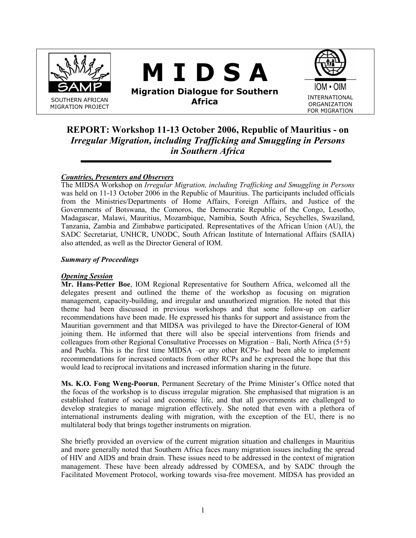

# REPORT: Workshop 11-13 October 2006, Republic of Mauritius - on Irregular Migration, including Trafficking and Smuggling in Persons in Southern Africa

# Countries, Presenters and Observers

The MIDSA Workshop on Irregular Migration, including Trafficking and Smuggling in Persons was held on 11-13 October 2006 in the Republic of Mauritius. The participants included officials from the Ministries/Departments of Home Affairs, Foreign Affairs, and Justice of the Governments of Botswana, the Comoros, the Democratic Republic of the Congo, Lesotho, Madagascar, Malawi, Mauritius, Mozambique, Namibia, South Africa, Seychelles, Swaziland, Tanzania, Zambia and Zimbabwe participated. Representatives of the African Union (AU), the SADC Secretariat, UNHCR, UNODC, South African Institute of International Affairs (SAIIA) also attended, as well as the Director General of IOM.

### Summary of Proceedings

### **Opening Session**

Mr. Hans-Petter Boe, IOM Regional Representative for Southern Africa, welcomed all the delegates present and outlined the theme of the workshop as focusing on migration management, capacity-building, and irregular and unauthorized migration. He noted that this theme had been discussed in previous workshops and that some follow-up on earlier recommendations have been made. He expressed his thanks for support and assistance from the Mauritian government and that MIDSA was privileged to have the Director-General of IOM joining them. He informed that there will also be special interventions from friends and colleagues from other Regional Consultative Processes on Migration – Bali, North Africa (5+5) and Puebla. This is the first time MIDSA –or any other RCPs- had been able to implement recommendations for increased contacts from other RCPs and he expressed the hope that this would lead to reciprocal invitations and increased information sharing in the future.

Ms. K.O. Fong Weng-Poorun, Permanent Secretary of the Prime Minister's Office noted that the focus of the workshop is to discuss irregular migration. She emphasised that migration is an established feature of social and economic life, and that all governments are challenged to develop strategies to manage migration effectively. She noted that even with a plethora of international instruments dealing with migration, with the exception of the EU, there is no multilateral body that brings together instruments on migration.

She briefly provided an overview of the current migration situation and challenges in Mauritius and more generally noted that Southern Africa faces many migration issues including the spread of HIV and AIDS and brain drain. These issues need to be addressed in the context of migration management. These have been already addressed by COMESA, and by SADC through the Facilitated Movement Protocol, working towards visa-free movement. MIDSA has provided an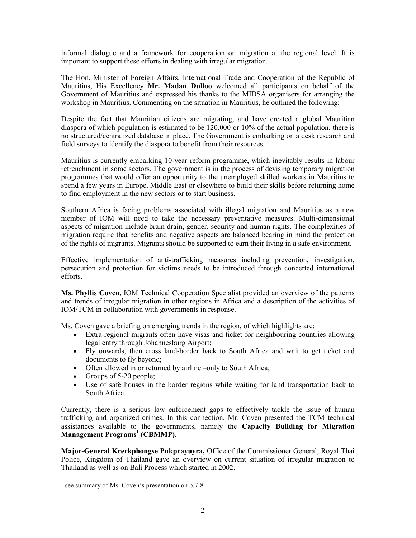informal dialogue and a framework for cooperation on migration at the regional level. It is important to support these efforts in dealing with irregular migration.

The Hon. Minister of Foreign Affairs, International Trade and Cooperation of the Republic of Mauritius, His Excellency Mr. Madan Dulloo welcomed all participants on behalf of the Government of Mauritius and expressed his thanks to the MIDSA organisers for arranging the workshop in Mauritius. Commenting on the situation in Mauritius, he outlined the following:

Despite the fact that Mauritian citizens are migrating, and have created a global Mauritian diaspora of which population is estimated to be 120,000 or 10% of the actual population, there is no structured/centralized database in place. The Government is embarking on a desk research and field surveys to identify the diaspora to benefit from their resources.

Mauritius is currently embarking 10-year reform programme, which inevitably results in labour retrenchment in some sectors. The government is in the process of devising temporary migration programmes that would offer an opportunity to the unemployed skilled workers in Mauritius to spend a few years in Europe, Middle East or elsewhere to build their skills before returning home to find employment in the new sectors or to start business.

Southern Africa is facing problems associated with illegal migration and Mauritius as a new member of IOM will need to take the necessary preventative measures. Multi-dimensional aspects of migration include brain drain, gender, security and human rights. The complexities of migration require that benefits and negative aspects are balanced bearing in mind the protection of the rights of migrants. Migrants should be supported to earn their living in a safe environment.

Effective implementation of anti-trafficking measures including prevention, investigation, persecution and protection for victims needs to be introduced through concerted international efforts.

Ms. Phyllis Coven, IOM Technical Cooperation Specialist provided an overview of the patterns and trends of irregular migration in other regions in Africa and a description of the activities of IOM/TCM in collaboration with governments in response.

Ms. Coven gave a briefing on emerging trends in the region, of which highlights are:

- Extra-regional migrants often have visas and ticket for neighbouring countries allowing legal entry through Johannesburg Airport;
- Fly onwards, then cross land-border back to South Africa and wait to get ticket and documents to fly beyond;
- Often allowed in or returned by airline –only to South Africa;
- Groups of 5-20 people;
- Use of safe houses in the border regions while waiting for land transportation back to South Africa.

Currently, there is a serious law enforcement gaps to effectively tackle the issue of human trafficking and organized crimes. In this connection, Mr. Coven presented the TCM technical assistances available to the governments, namely the Capacity Building for Migration Management Programs<sup>1</sup> (CBMMP).

Major-General Krerkphongse Pukprayuyra, Office of the Commissioner General, Royal Thai Police, Kingdom of Thailand gave an overview on current situation of irregular migration to Thailand as well as on Bali Process which started in 2002.

 $\overline{a}$ 

<sup>&</sup>lt;sup>1</sup> see summary of Ms. Coven's presentation on p.7-8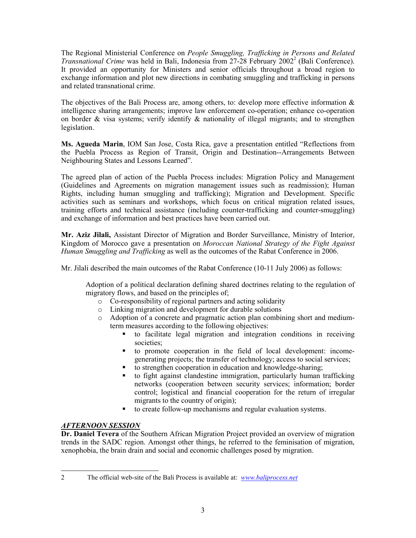The Regional Ministerial Conference on People Smuggling, Trafficking in Persons and Related Transnational Crime was held in Bali, Indonesia from 27-28 February  $2002^2$  (Bali Conference). It provided an opportunity for Ministers and senior officials throughout a broad region to exchange information and plot new directions in combating smuggling and trafficking in persons and related transnational crime.

The objectives of the Bali Process are, among others, to: develop more effective information  $\&$ intelligence sharing arrangements; improve law enforcement co-operation; enhance co-operation on border  $\&$  visa systems; verify identify  $\&$  nationality of illegal migrants; and to strengthen legislation.

Ms. Agueda Marin, IOM San Jose, Costa Rica, gave a presentation entitled "Reflections from the Puebla Process as Region of Transit, Origin and Destination--Arrangements Between Neighbouring States and Lessons Learned".

The agreed plan of action of the Puebla Process includes: Migration Policy and Management (Guidelines and Agreements on migration management issues such as readmission); Human Rights, including human smuggling and trafficking); Migration and Development. Specific activities such as seminars and workshops, which focus on critical migration related issues, training efforts and technical assistance (including counter-trafficking and counter-smuggling) and exchange of information and best practices have been carried out.

Mr. Aziz Jilali, Assistant Director of Migration and Border Surveillance, Ministry of Interior, Kingdom of Morocco gave a presentation on Moroccan National Strategy of the Fight Against Human Smuggling and Trafficking as well as the outcomes of the Rabat Conference in 2006.

Mr. Jilali described the main outcomes of the Rabat Conference (10-11 July 2006) as follows:

Adoption of a political declaration defining shared doctrines relating to the regulation of migratory flows, and based on the principles of;

- o Co-responsibility of regional partners and acting solidarity
- o Linking migration and development for durable solutions
- o Adoption of a concrete and pragmatic action plan combining short and mediumterm measures according to the following objectives:
	- to facilitate legal migration and integration conditions in receiving societies;
	- to promote cooperation in the field of local development: incomegenerating projects; the transfer of technology; access to social services;
	- to strengthen cooperation in education and knowledge-sharing;
	- to fight against clandestine immigration, particularly human trafficking networks (cooperation between security services; information; border control; logistical and financial cooperation for the return of irregular migrants to the country of origin);
	- to create follow-up mechanisms and regular evaluation systems.

# AFTERNOON SESSION

Dr. Daniel Tevera of the Southern African Migration Project provided an overview of migration trends in the SADC region. Amongst other things, he referred to the feminisation of migration, xenophobia, the brain drain and social and economic challenges posed by migration.

<sup>-</sup>2 The official web-site of the Bali Process is available at: www.baliprocess.net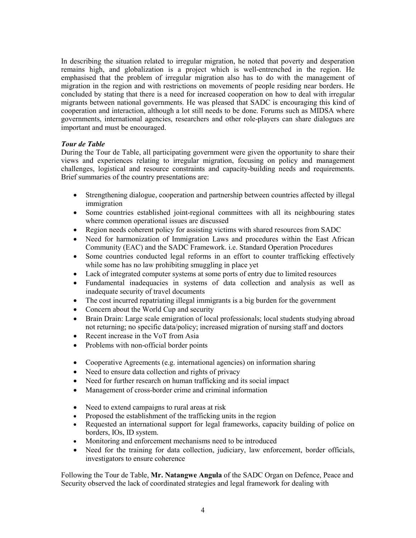In describing the situation related to irregular migration, he noted that poverty and desperation remains high, and globalization is a project which is well-entrenched in the region. He emphasised that the problem of irregular migration also has to do with the management of migration in the region and with restrictions on movements of people residing near borders. He concluded by stating that there is a need for increased cooperation on how to deal with irregular migrants between national governments. He was pleased that SADC is encouraging this kind of cooperation and interaction, although a lot still needs to be done. Forums such as MIDSA where governments, international agencies, researchers and other role-players can share dialogues are important and must be encouraged.

### Tour de Table

During the Tour de Table, all participating government were given the opportunity to share their views and experiences relating to irregular migration, focusing on policy and management challenges, logistical and resource constraints and capacity-building needs and requirements. Brief summaries of the country presentations are:

- Strengthening dialogue, cooperation and partnership between countries affected by illegal immigration
- Some countries established joint-regional committees with all its neighbouring states where common operational issues are discussed
- Region needs coherent policy for assisting victims with shared resources from SADC
- Need for harmonization of Immigration Laws and procedures within the East African Community (EAC) and the SADC Framework. i.e. Standard Operation Procedures
- Some countries conducted legal reforms in an effort to counter trafficking effectively while some has no law prohibiting smuggling in place yet
- Lack of integrated computer systems at some ports of entry due to limited resources
- Fundamental inadequacies in systems of data collection and analysis as well as inadequate security of travel documents
- The cost incurred repatriating illegal immigrants is a big burden for the government
- Concern about the World Cup and security
- Brain Drain: Large scale emigration of local professionals; local students studying abroad not returning; no specific data/policy; increased migration of nursing staff and doctors
- Recent increase in the VoT from Asia
- Problems with non-official border points
- Cooperative Agreements (e.g. international agencies) on information sharing
- Need to ensure data collection and rights of privacy
- Need for further research on human trafficking and its social impact
- Management of cross-border crime and criminal information
- Need to extend campaigns to rural areas at risk
- Proposed the establishment of the trafficking units in the region
- Requested an international support for legal frameworks, capacity building of police on borders, IOs, ID system.
- Monitoring and enforcement mechanisms need to be introduced
- Need for the training for data collection, judiciary, law enforcement, border officials, investigators to ensure coherence

Following the Tour de Table, Mr. Natangwe Angula of the SADC Organ on Defence, Peace and Security observed the lack of coordinated strategies and legal framework for dealing with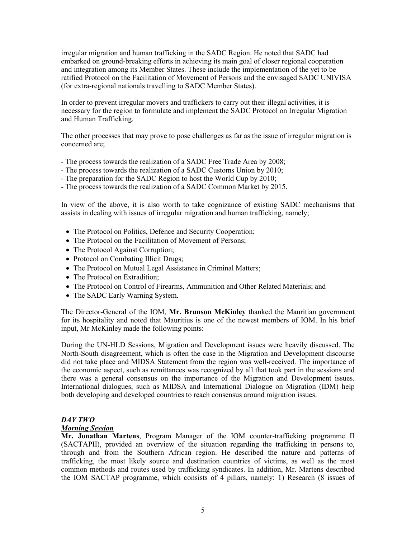irregular migration and human trafficking in the SADC Region. He noted that SADC had embarked on ground-breaking efforts in achieving its main goal of closer regional cooperation and integration among its Member States. These include the implementation of the yet to be ratified Protocol on the Facilitation of Movement of Persons and the envisaged SADC UNIVISA (for extra-regional nationals travelling to SADC Member States).

In order to prevent irregular movers and traffickers to carry out their illegal activities, it is necessary for the region to formulate and implement the SADC Protocol on Irregular Migration and Human Trafficking.

The other processes that may prove to pose challenges as far as the issue of irregular migration is concerned are;

- The process towards the realization of a SADC Free Trade Area by 2008;
- The process towards the realization of a SADC Customs Union by 2010;
- The preparation for the SADC Region to host the World Cup by 2010;
- The process towards the realization of a SADC Common Market by 2015.

In view of the above, it is also worth to take cognizance of existing SADC mechanisms that assists in dealing with issues of irregular migration and human trafficking, namely;

- The Protocol on Politics, Defence and Security Cooperation;
- The Protocol on the Facilitation of Movement of Persons;
- The Protocol Against Corruption;
- Protocol on Combating Illicit Drugs;
- The Protocol on Mutual Legal Assistance in Criminal Matters;
- The Protocol on Extradition;
- The Protocol on Control of Firearms, Ammunition and Other Related Materials; and
- The SADC Early Warning System.

The Director-General of the IOM, Mr. Brunson McKinley thanked the Mauritian government for its hospitality and noted that Mauritius is one of the newest members of IOM. In his brief input, Mr McKinley made the following points:

During the UN-HLD Sessions, Migration and Development issues were heavily discussed. The North-South disagreement, which is often the case in the Migration and Development discourse did not take place and MIDSA Statement from the region was well-received. The importance of the economic aspect, such as remittances was recognized by all that took part in the sessions and there was a general consensus on the importance of the Migration and Development issues. International dialogues, such as MIDSA and International Dialogue on Migration (IDM) help both developing and developed countries to reach consensus around migration issues.

#### DAY TWO

#### Morning Session

Mr. Jonathan Martens, Program Manager of the IOM counter-trafficking programme II (SACTAPII), provided an overview of the situation regarding the trafficking in persons to, through and from the Southern African region. He described the nature and patterns of trafficking, the most likely source and destination countries of victims, as well as the most common methods and routes used by trafficking syndicates. In addition, Mr. Martens described the IOM SACTAP programme, which consists of 4 pillars, namely: 1) Research (8 issues of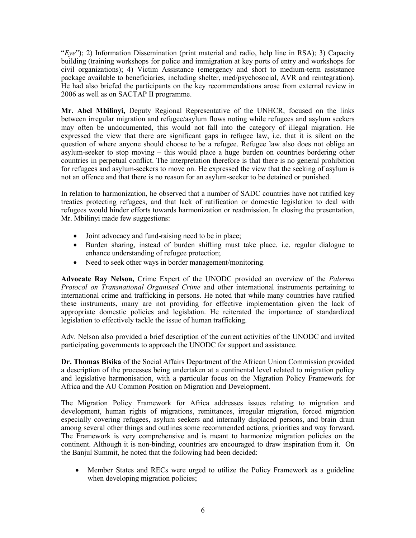"Eye"); 2) Information Dissemination (print material and radio, help line in RSA); 3) Capacity building (training workshops for police and immigration at key ports of entry and workshops for civil organizations); 4) Victim Assistance (emergency and short to medium-term assistance package available to beneficiaries, including shelter, med/psychosocial, AVR and reintegration). He had also briefed the participants on the key recommendations arose from external review in 2006 as well as on SACTAP II programme.

Mr. Abel Mbilinyi, Deputy Regional Representative of the UNHCR, focused on the links between irregular migration and refugee/asylum flows noting while refugees and asylum seekers may often be undocumented, this would not fall into the category of illegal migration. He expressed the view that there are significant gaps in refugee law, i.e. that it is silent on the question of where anyone should choose to be a refugee. Refugee law also does not oblige an asylum-seeker to stop moving – this would place a huge burden on countries bordering other countries in perpetual conflict. The interpretation therefore is that there is no general prohibition for refugees and asylum-seekers to move on. He expressed the view that the seeking of asylum is not an offence and that there is no reason for an asylum-seeker to be detained or punished.

In relation to harmonization, he observed that a number of SADC countries have not ratified key treaties protecting refugees, and that lack of ratification or domestic legislation to deal with refugees would hinder efforts towards harmonization or readmission. In closing the presentation, Mr. Mbilinyi made few suggestions:

- Joint advocacy and fund-raising need to be in place;
- Burden sharing, instead of burden shifting must take place. i.e. regular dialogue to enhance understanding of refugee protection;
- Need to seek other ways in border management/monitoring.

Advocate Ray Nelson, Crime Expert of the UNODC provided an overview of the Palermo Protocol on Transnational Organised Crime and other international instruments pertaining to international crime and trafficking in persons. He noted that while many countries have ratified these instruments, many are not providing for effective implementation given the lack of appropriate domestic policies and legislation. He reiterated the importance of standardized legislation to effectively tackle the issue of human trafficking.

Adv. Nelson also provided a brief description of the current activities of the UNODC and invited participating governments to approach the UNODC for support and assistance.

Dr. Thomas Bisika of the Social Affairs Department of the African Union Commission provided a description of the processes being undertaken at a continental level related to migration policy and legislative harmonisation, with a particular focus on the Migration Policy Framework for Africa and the AU Common Position on Migration and Development.

The Migration Policy Framework for Africa addresses issues relating to migration and development, human rights of migrations, remittances, irregular migration, forced migration especially covering refugees, asylum seekers and internally displaced persons, and brain drain among several other things and outlines some recommended actions, priorities and way forward. The Framework is very comprehensive and is meant to harmonize migration policies on the continent. Although it is non-binding, countries are encouraged to draw inspiration from it. On the Banjul Summit, he noted that the following had been decided:

• Member States and RECs were urged to utilize the Policy Framework as a guideline when developing migration policies;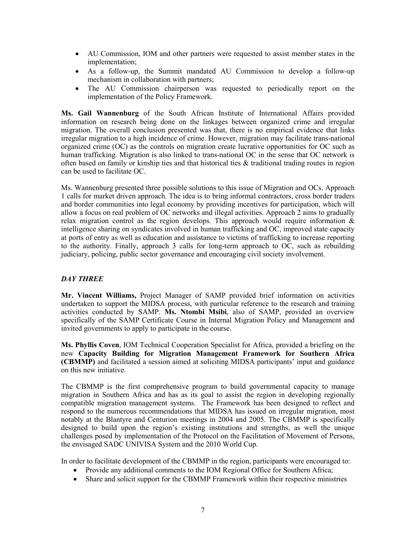- AU Commission, IOM and other partners were requested to assist member states in the implementation;
- As a follow-up, the Summit mandated AU Commission to develop a follow-up mechanism in collaboration with partners;
- The AU Commission chairperson was requested to periodically report on the implementation of the Policy Framework.

Ms. Gail Wannenburg of the South African Institute of International Affairs provided information on research being done on the linkages between organized crime and irregular migration. The overall conclusion presented was that, there is no empirical evidence that links irregular migration to a high incidence of crime. However, migration may facilitate trans-national organized crime (OC) as the controls on migration create lucrative opportunities for OC such as human trafficking. Migration is also linked to trans-national OC in the sense that OC network is often based on family or kinship ties and that historical ties  $\&$  traditional trading routes in region can be used to facilitate OC.

Ms. Wannenburg presented three possible solutions to this issue of Migration and OCs. Approach 1 calls for market driven approach. The idea is to bring informal contractors, cross border traders and border communities into legal economy by providing incentives for participation, which will allow a focus on real problem of OC networks and illegal activities. Approach 2 aims to gradually relax migration control as the region develops. This approach would require information  $\&$ intelligence sharing on syndicates involved in human trafficking and OC, improved state capacity at ports of entry as well as education and assistance to victims of trafficking to increase reporting to the authority. Finally, approach 3 calls for long-term approach to OC, such as rebuilding judiciary, policing, public sector governance and encouraging civil society involvement.

# DAY THREE

Mr. Vincent Williams, Project Manager of SAMP provided brief information on activities undertaken to support the MIDSA process, with particular reference to the research and training activities conducted by SAMP. Ms. Ntombi Msibi, also of SAMP, provided an overview specifically of the SAMP Certificate Course in Internal Migration Policy and Management and invited governments to apply to participate in the course.

Ms. Phyllis Coven, IOM Technical Cooperation Specialist for Africa, provided a briefing on the new Capacity Building for Migration Management Framework for Southern Africa (CBMMP) and facilitated a session aimed at soliciting MIDSA participants' input and guidance on this new initiative.

The CBMMP is the first comprehensive program to build governmental capacity to manage migration in Southern Africa and has as its goal to assist the region in developing regionally compatible migration management systems. The Framework has been designed to reflect and respond to the numerous recommendations that MIDSA has issued on irregular migration, most notably at the Blantyre and Centurion meetings in 2004 and 2005. The CBMMP is specifically designed to build upon the region's existing institutions and strengths, as well the unique challenges posed by implementation of the Protocol on the Facilitation of Movement of Persons, the envisaged SADC UNIVISA System and the 2010 World Cup.

In order to facilitate development of the CBMMP in the region, participants were encouraged to:

- Provide any additional comments to the IOM Regional Office for Southern Africa;
- Share and solicit support for the CBMMP Framework within their respective ministries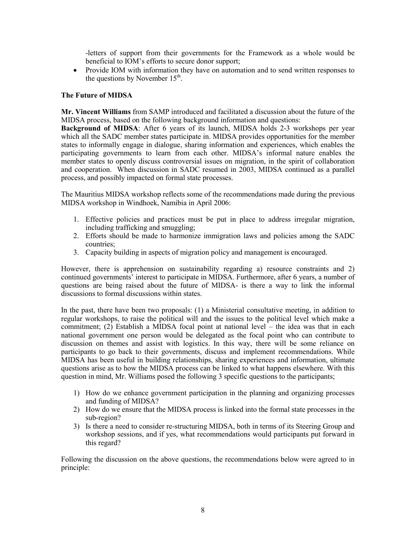-letters of support from their governments for the Framework as a whole would be beneficial to IOM's efforts to secure donor support;

• Provide IOM with information they have on automation and to send written responses to the questions by November  $15<sup>th</sup>$ .

### The Future of MIDSA

Mr. Vincent Williams from SAMP introduced and facilitated a discussion about the future of the MIDSA process, based on the following background information and questions:

Background of MIDSA: After 6 years of its launch, MIDSA holds 2-3 workshops per year which all the SADC member states participate in. MIDSA provides opportunities for the member states to informally engage in dialogue, sharing information and experiences, which enables the participating governments to learn from each other. MIDSA's informal nature enables the member states to openly discuss controversial issues on migration, in the spirit of collaboration and cooperation. When discussion in SADC resumed in 2003, MIDSA continued as a parallel process, and possibly impacted on formal state processes.

The Mauritius MIDSA workshop reflects some of the recommendations made during the previous MIDSA workshop in Windhoek, Namibia in April 2006:

- 1. Effective policies and practices must be put in place to address irregular migration, including trafficking and smuggling;
- 2. Efforts should be made to harmonize immigration laws and policies among the SADC countries;
- 3. Capacity building in aspects of migration policy and management is encouraged.

However, there is apprehension on sustainability regarding a) resource constraints and 2) continued governments' interest to participate in MIDSA. Furthermore, after 6 years, a number of questions are being raised about the future of MIDSA- is there a way to link the informal discussions to formal discussions within states.

In the past, there have been two proposals: (1) a Ministerial consultative meeting, in addition to regular workshops, to raise the political will and the issues to the political level which make a commitment; (2) Establish a MIDSA focal point at national level – the idea was that in each national government one person would be delegated as the focal point who can contribute to discussion on themes and assist with logistics. In this way, there will be some reliance on participants to go back to their governments, discuss and implement recommendations. While MIDSA has been useful in building relationships, sharing experiences and information, ultimate questions arise as to how the MIDSA process can be linked to what happens elsewhere. With this question in mind, Mr. Williams posed the following 3 specific questions to the participants;

- 1) How do we enhance government participation in the planning and organizing processes and funding of MIDSA?
- 2) How do we ensure that the MIDSA process is linked into the formal state processes in the sub-region?
- 3) Is there a need to consider re-structuring MIDSA, both in terms of its Steering Group and workshop sessions, and if yes, what recommendations would participants put forward in this regard?

Following the discussion on the above questions, the recommendations below were agreed to in principle: